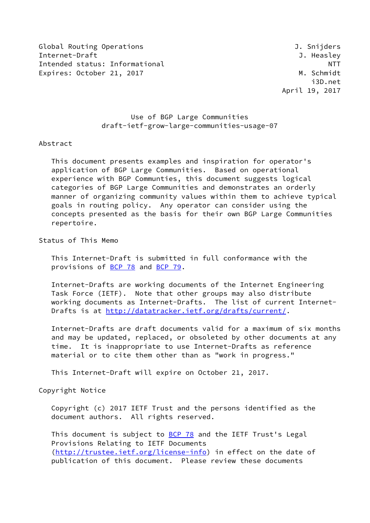Global Routing Operations **Global Report Control** Control Control Control Control Control Control Control Control Control Control Control Control Control Control Control Control Control Control Control Control Control Cont Internet-Draft J. Heasley Intended status: Informational NTT Expires: October 21, 2017 M. Schmidt

 i3D.net April 19, 2017

# Use of BGP Large Communities draft-ietf-grow-large-communities-usage-07

## Abstract

 This document presents examples and inspiration for operator's application of BGP Large Communities. Based on operational experience with BGP Communties, this document suggests logical categories of BGP Large Communities and demonstrates an orderly manner of organizing community values within them to achieve typical goals in routing policy. Any operator can consider using the concepts presented as the basis for their own BGP Large Communities repertoire.

Status of This Memo

 This Internet-Draft is submitted in full conformance with the provisions of [BCP 78](https://datatracker.ietf.org/doc/pdf/bcp78) and [BCP 79](https://datatracker.ietf.org/doc/pdf/bcp79).

 Internet-Drafts are working documents of the Internet Engineering Task Force (IETF). Note that other groups may also distribute working documents as Internet-Drafts. The list of current Internet- Drafts is at<http://datatracker.ietf.org/drafts/current/>.

 Internet-Drafts are draft documents valid for a maximum of six months and may be updated, replaced, or obsoleted by other documents at any time. It is inappropriate to use Internet-Drafts as reference material or to cite them other than as "work in progress."

This Internet-Draft will expire on October 21, 2017.

Copyright Notice

 Copyright (c) 2017 IETF Trust and the persons identified as the document authors. All rights reserved.

This document is subject to **[BCP 78](https://datatracker.ietf.org/doc/pdf/bcp78)** and the IETF Trust's Legal Provisions Relating to IETF Documents [\(http://trustee.ietf.org/license-info](http://trustee.ietf.org/license-info)) in effect on the date of publication of this document. Please review these documents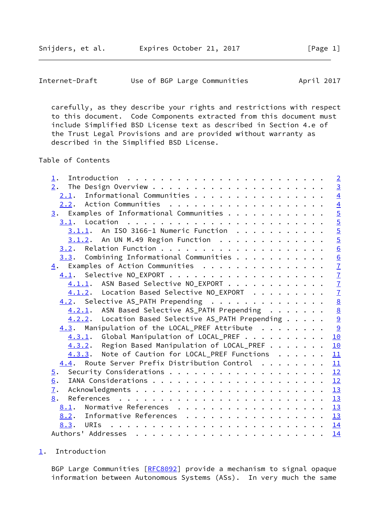Snijders, et al. 
Expires October 21, 2017
[Page 1]

<span id="page-1-1"></span>Internet-Draft Use of BGP Large Communities April 2017

 carefully, as they describe your rights and restrictions with respect to this document. Code Components extracted from this document must include Simplified BSD License text as described in Section 4.e of the Trust Legal Provisions and are provided without warranty as described in the Simplified BSD License.

Table of Contents

| $\mathbf 1$ .                                           |  |  | $\overline{2}$                                           |
|---------------------------------------------------------|--|--|----------------------------------------------------------|
| 2.                                                      |  |  | $\overline{3}$                                           |
| $2.1$ . Informational Communities                       |  |  | $\overline{4}$                                           |
|                                                         |  |  |                                                          |
| $\underline{3}$ . Examples of Informational Communities |  |  | $\frac{4}{5}$ or $\frac{1}{5}$                           |
|                                                         |  |  |                                                          |
| $3.1.1$ . An ISO 3166-1 Numeric Function                |  |  |                                                          |
| 3.1.2. An UN M.49 Region Function                       |  |  |                                                          |
|                                                         |  |  |                                                          |
| $3.3.$ Combining Informational Communities              |  |  |                                                          |
| $\underline{4}$ . Examples of Action Communities        |  |  |                                                          |
|                                                         |  |  |                                                          |
| 4.1.1. ASN Based Selective NO_EXPORT                    |  |  |                                                          |
| 4.1.2. Location Based Selective NO_EXPORT               |  |  | 0<br>0<br>2<br>2<br>2<br>2<br>2<br>2<br>2<br>2<br>2<br>2 |
| 4.2. Selective AS_PATH Prepending                       |  |  |                                                          |
| 4.2.1. ASN Based Selective AS_PATH Prepending           |  |  |                                                          |
| 4.2.2. Location Based Selective AS_PATH Prepending      |  |  |                                                          |
| $4.3$ . Manipulation of the LOCAL_PREF Attribute        |  |  |                                                          |
| 4.3.1. Global Manipulation of LOCAL_PREF                |  |  | 10                                                       |
| 4.3.2. Region Based Manipulation of LOCAL_PREF 10       |  |  |                                                          |
| 4.3.3. Note of Caution for LOCAL_PREF Functions 11      |  |  |                                                          |
| 4.4. Route Server Prefix Distribution Control 11        |  |  |                                                          |
| 5.                                                      |  |  |                                                          |
| 6.                                                      |  |  |                                                          |
| 7.                                                      |  |  |                                                          |
| 8.                                                      |  |  |                                                          |
| Normative References $\frac{13}{2}$<br>8.1.             |  |  |                                                          |
| 8.2. Informative References 13                          |  |  |                                                          |
| URIs<br>8.3.                                            |  |  |                                                          |
|                                                         |  |  | 14                                                       |
|                                                         |  |  |                                                          |

#### <span id="page-1-0"></span>[1](#page-1-0). Introduction

BGP Large Communities [[RFC8092](https://datatracker.ietf.org/doc/pdf/rfc8092)] provide a mechanism to signal opaque information between Autonomous Systems (ASs). In very much the same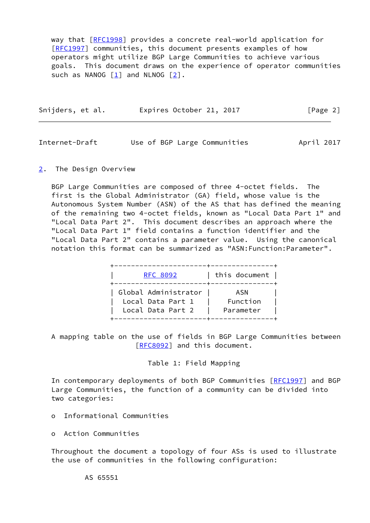way that [\[RFC1998](https://datatracker.ietf.org/doc/pdf/rfc1998)] provides a concrete real-world application for [\[RFC1997](https://datatracker.ietf.org/doc/pdf/rfc1997)] communities, this document presents examples of how operators might utilize BGP Large Communities to achieve various goals. This document draws on the experience of operator communities such as NANOG  $[\underline{1}]$  and NLNOG  $[\underline{2}]$ .

| Expires October 21, 2017<br>[Page 2]<br>Snijders, et al. |  |  |
|----------------------------------------------------------|--|--|
|----------------------------------------------------------|--|--|

<span id="page-2-1"></span>Internet-Draft Use of BGP Large Communities April 2017

<span id="page-2-0"></span>[2](#page-2-0). The Design Overview

 BGP Large Communities are composed of three 4-octet fields. The first is the Global Administrator (GA) field, whose value is the Autonomous System Number (ASN) of the AS that has defined the meaning of the remaining two 4-octet fields, known as "Local Data Part 1" and "Local Data Part 2". This document describes an approach where the "Local Data Part 1" field contains a function identifier and the "Local Data Part 2" contains a parameter value. Using the canonical notation this format can be summarized as "ASN:Function:Parameter".

| RFC 8092             | this document |
|----------------------|---------------|
| Global Administrator | ASN           |
| Local Data Part 1    | Function      |
| Local Data Part 2    | Parameter     |

 A mapping table on the use of fields in BGP Large Communities between [\[RFC8092](https://datatracker.ietf.org/doc/pdf/rfc8092)] and this document.

Table 1: Field Mapping

In contemporary deployments of both BGP Communities [\[RFC1997](https://datatracker.ietf.org/doc/pdf/rfc1997)] and BGP Large Communities, the function of a community can be divided into two categories:

- o Informational Communities
- o Action Communities

 Throughout the document a topology of four ASs is used to illustrate the use of communities in the following configuration:

AS 65551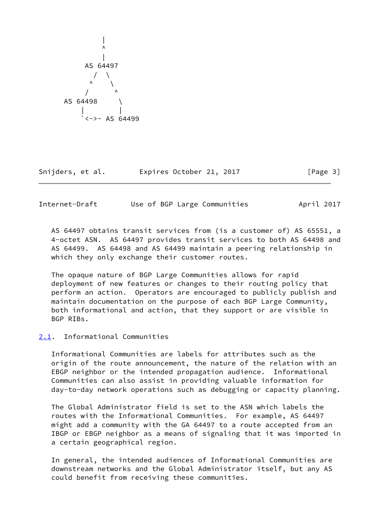

Snijders, et al. 
Expires October 21, 2017
[Page 3]

<span id="page-3-1"></span>Internet-Draft Use of BGP Large Communities April 2017

 AS 64497 obtains transit services from (is a customer of) AS 65551, a 4-octet ASN. AS 64497 provides transit services to both AS 64498 and AS 64499. AS 64498 and AS 64499 maintain a peering relationship in which they only exchange their customer routes.

 The opaque nature of BGP Large Communities allows for rapid deployment of new features or changes to their routing policy that perform an action. Operators are encouraged to publicly publish and maintain documentation on the purpose of each BGP Large Community, both informational and action, that they support or are visible in BGP RIBs.

<span id="page-3-0"></span>[2.1](#page-3-0). Informational Communities

 Informational Communities are labels for attributes such as the origin of the route announcement, the nature of the relation with an EBGP neighbor or the intended propagation audience. Informational Communities can also assist in providing valuable information for day-to-day network operations such as debugging or capacity planning.

 The Global Administrator field is set to the ASN which labels the routes with the Informational Communities. For example, AS 64497 might add a community with the GA 64497 to a route accepted from an IBGP or EBGP neighbor as a means of signaling that it was imported in a certain geographical region.

 In general, the intended audiences of Informational Communities are downstream networks and the Global Administrator itself, but any AS could benefit from receiving these communities.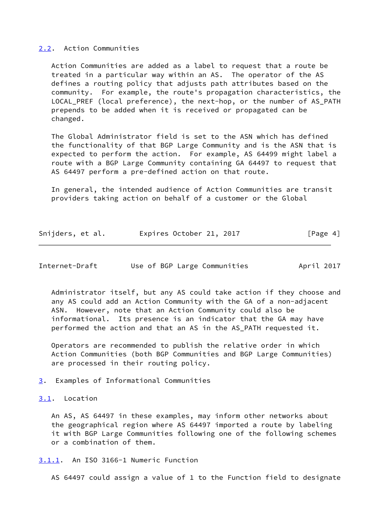#### <span id="page-4-0"></span>[2.2](#page-4-0). Action Communities

 Action Communities are added as a label to request that a route be treated in a particular way within an AS. The operator of the AS defines a routing policy that adjusts path attributes based on the community. For example, the route's propagation characteristics, the LOCAL\_PREF (local preference), the next-hop, or the number of AS\_PATH prepends to be added when it is received or propagated can be changed.

 The Global Administrator field is set to the ASN which has defined the functionality of that BGP Large Community and is the ASN that is expected to perform the action. For example, AS 64499 might label a route with a BGP Large Community containing GA 64497 to request that AS 64497 perform a pre-defined action on that route.

 In general, the intended audience of Action Communities are transit providers taking action on behalf of a customer or the Global

| Snijders, et al. | Expires October 21, 2017 |  | [Page 4] |
|------------------|--------------------------|--|----------|
|------------------|--------------------------|--|----------|

<span id="page-4-2"></span>Internet-Draft Use of BGP Large Communities April 2017

 Administrator itself, but any AS could take action if they choose and any AS could add an Action Community with the GA of a non-adjacent ASN. However, note that an Action Community could also be informational. Its presence is an indicator that the GA may have performed the action and that an AS in the AS\_PATH requested it.

 Operators are recommended to publish the relative order in which Action Communities (both BGP Communities and BGP Large Communities) are processed in their routing policy.

<span id="page-4-1"></span>[3](#page-4-1). Examples of Informational Communities

<span id="page-4-3"></span>[3.1](#page-4-3). Location

 An AS, AS 64497 in these examples, may inform other networks about the geographical region where AS 64497 imported a route by labeling it with BGP Large Communities following one of the following schemes or a combination of them.

<span id="page-4-4"></span>[3.1.1](#page-4-4). An ISO 3166-1 Numeric Function

AS 64497 could assign a value of 1 to the Function field to designate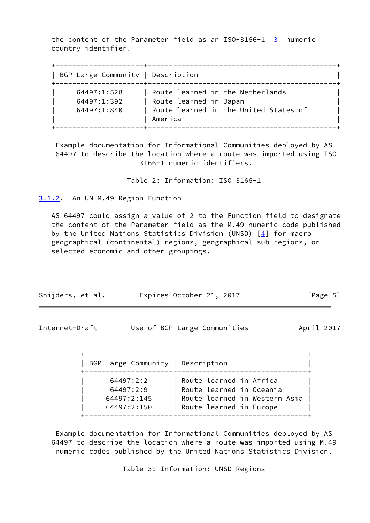the content of the Parameter field as an ISO-3166-1  $[3]$  $[3]$  numeric country identifier.

| BGP Large Community   Description |                                                            |
|-----------------------------------|------------------------------------------------------------|
| 64497:1:528<br>64497:1:392        | Route learned in the Netherlands<br>Route learned in Japan |
| 64497:1:840                       | Route learned in the United States of<br>America           |

 Example documentation for Informational Communities deployed by AS 64497 to describe the location where a route was imported using ISO 3166-1 numeric identifiers.

Table 2: Information: ISO 3166-1

<span id="page-5-0"></span>[3.1.2](#page-5-0). An UN M.49 Region Function

 AS 64497 could assign a value of 2 to the Function field to designate the content of the Parameter field as the M.49 numeric code published by the United Nations Statistics Division (UNSD) [\[4\]](#page-14-6) for macro geographical (continental) regions, geographical sub-regions, or selected economic and other groupings.

| Snijders, et al. |  | Expires October 21, 2017 |  | [Page 5] |  |
|------------------|--|--------------------------|--|----------|--|
|                  |  |                          |  |          |  |

<span id="page-5-1"></span>Internet-Draft Use of BGP Large Communities April 2017

 +---------------------+-------------------------------+ | BGP Large Community | Description | +---------------------+-------------------------------+ 64497:2:2 | Route learned in Africa | 64497:2:9 | Route learned in Oceania | | 64497:2:145 | Route learned in Western Asia | | 64497:2:150 | Route learned in Europe | +---------------------+-------------------------------+

 Example documentation for Informational Communities deployed by AS 64497 to describe the location where a route was imported using M.49 numeric codes published by the United Nations Statistics Division.

Table 3: Information: UNSD Regions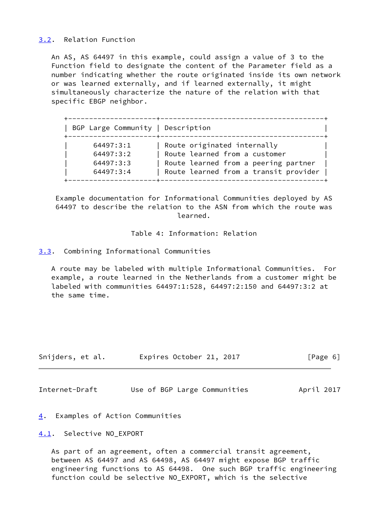# <span id="page-6-0"></span>[3.2](#page-6-0). Relation Function

 An AS, AS 64497 in this example, could assign a value of 3 to the Function field to designate the content of the Parameter field as a number indicating whether the route originated inside its own network or was learned externally, and if learned externally, it might simultaneously characterize the nature of the relation with that specific EBGP neighbor.

| BGP Large Community   Description |                                       |
|-----------------------------------|---------------------------------------|
| 64497:3:1                         | Route originated internally           |
| 64497:3:2                         | Route learned from a customer         |
| 64497:3:3                         | Route learned from a peering partner  |
| 64497:3:4                         | Route learned from a transit provider |

 Example documentation for Informational Communities deployed by AS 64497 to describe the relation to the ASN from which the route was learned.

Table 4: Information: Relation

<span id="page-6-1"></span>[3.3](#page-6-1). Combining Informational Communities

 A route may be labeled with multiple Informational Communities. For example, a route learned in the Netherlands from a customer might be labeled with communities 64497:1:528, 64497:2:150 and 64497:3:2 at the same time.

| Snijders, et al. |  | Expires October 21, 2017 |  |  | [Page 6] |  |  |
|------------------|--|--------------------------|--|--|----------|--|--|
|------------------|--|--------------------------|--|--|----------|--|--|

<span id="page-6-3"></span>Internet-Draft Use of BGP Large Communities April 2017

<span id="page-6-2"></span>[4](#page-6-2). Examples of Action Communities

<span id="page-6-4"></span>[4.1](#page-6-4). Selective NO EXPORT

 As part of an agreement, often a commercial transit agreement, between AS 64497 and AS 64498, AS 64497 might expose BGP traffic engineering functions to AS 64498. One such BGP traffic engineering function could be selective NO\_EXPORT, which is the selective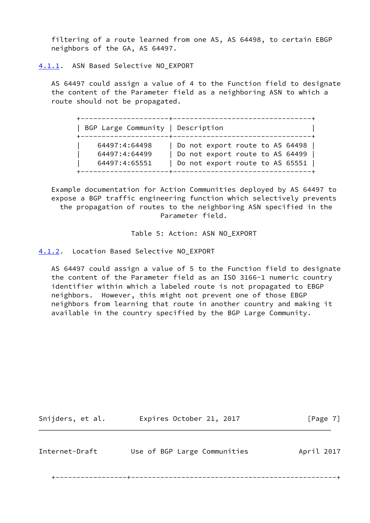filtering of a route learned from one AS, AS 64498, to certain EBGP neighbors of the GA, AS 64497.

<span id="page-7-0"></span>[4.1.1](#page-7-0). ASN Based Selective NO EXPORT

 AS 64497 could assign a value of 4 to the Function field to designate the content of the Parameter field as a neighboring ASN to which a route should not be propagated.

 +---------------------+---------------------------------+ | BGP Large Community | Description +---------------------+---------------------------------+ | 64497:4:64498 | Do not export route to AS 64498 | | 64497:4:64499 | Do not export route to AS 64499 | | 64497:4:65551 | Do not export route to AS 65551 | +---------------------+---------------------------------+

 Example documentation for Action Communities deployed by AS 64497 to expose a BGP traffic engineering function which selectively prevents the propagation of routes to the neighboring ASN specified in the Parameter field.

Table 5: Action: ASN NO\_EXPORT

<span id="page-7-1"></span>[4.1.2](#page-7-1). Location Based Selective NO\_EXPORT

 AS 64497 could assign a value of 5 to the Function field to designate the content of the Parameter field as an ISO 3166-1 numeric country identifier within which a labeled route is not propagated to EBGP neighbors. However, this might not prevent one of those EBGP neighbors from learning that route in another country and making it available in the country specified by the BGP Large Community.

<span id="page-7-2"></span>

| Internet-Draft | Use of BGP Large Communities | April 2017 |
|----------------|------------------------------|------------|

Snijders, et al. 
Expires October 21, 2017

[Page 7]

+-----------------+-------------------------------------------------+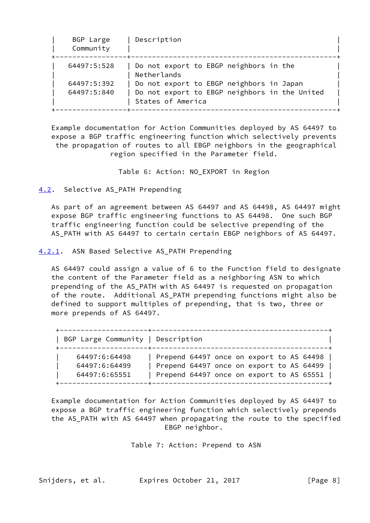| BGP Large<br>Community | Description                                                        |
|------------------------|--------------------------------------------------------------------|
| 64497:5:528            | Do not export to EBGP neighbors in the<br>Netherlands              |
| 64497:5:392            | Do not export to EBGP neighbors in Japan                           |
| 64497:5:840            | Do not export to EBGP neighbors in the United<br>States of America |

 Example documentation for Action Communities deployed by AS 64497 to expose a BGP traffic engineering function which selectively prevents the propagation of routes to all EBGP neighbors in the geographical region specified in the Parameter field.

Table 6: Action: NO\_EXPORT in Region

<span id="page-8-0"></span>[4.2](#page-8-0). Selective AS\_PATH Prepending

 As part of an agreement between AS 64497 and AS 64498, AS 64497 might expose BGP traffic engineering functions to AS 64498. One such BGP traffic engineering function could be selective prepending of the AS\_PATH with AS 64497 to certain certain EBGP neighbors of AS 64497.

<span id="page-8-1"></span>[4.2.1](#page-8-1). ASN Based Selective AS\_PATH Prepending

 AS 64497 could assign a value of 6 to the Function field to designate the content of the Parameter field as a neighboring ASN to which prepending of the AS\_PATH with AS 64497 is requested on propagation of the route. Additional AS\_PATH prepending functions might also be defined to support multiples of prepending, that is two, three or more prepends of AS 64497.

| BGP Large Community   Description |                                          |
|-----------------------------------|------------------------------------------|
| 64497:6:64498                     | Prepend 64497 once on export to AS 64498 |
| 64497:6:64499                     | Prepend 64497 once on export to AS 64499 |
| 64497:6:65551                     | Prepend 64497 once on export to AS 65551 |

 Example documentation for Action Communities deployed by AS 64497 to expose a BGP traffic engineering function which selectively prepends the AS\_PATH with AS 64497 when propagating the route to the specified EBGP neighbor.

Table 7: Action: Prepend to ASN

Snijders, et al. Expires October 21, 2017 [Page 8]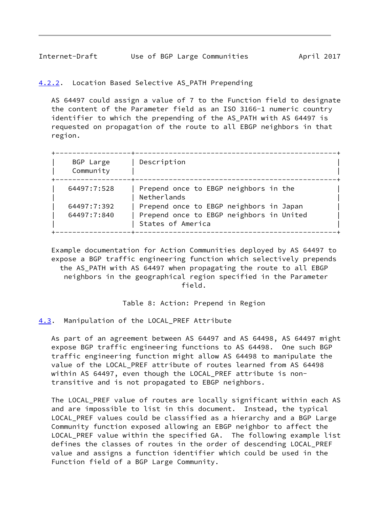<span id="page-9-1"></span><span id="page-9-0"></span>[4.2.2](#page-9-0). Location Based Selective AS\_PATH Prepending

 AS 64497 could assign a value of 7 to the Function field to designate the content of the Parameter field as an ISO 3166-1 numeric country identifier to which the prepending of the AS\_PATH with AS 64497 is requested on propagation of the route to all EBGP neighbors in that region.

| BGP Large<br>Community | Description                                                   |
|------------------------|---------------------------------------------------------------|
| 64497:7:528            | Prepend once to EBGP neighbors in the<br>Netherlands          |
| 64497:7:392            | Prepend once to EBGP neighbors in Japan                       |
| 64497:7:840            | Prepend once to EBGP neighbors in United<br>States of America |

 Example documentation for Action Communities deployed by AS 64497 to expose a BGP traffic engineering function which selectively prepends the AS\_PATH with AS 64497 when propagating the route to all EBGP neighbors in the geographical region specified in the Parameter field.

Table 8: Action: Prepend in Region

<span id="page-9-2"></span>[4.3](#page-9-2). Manipulation of the LOCAL\_PREF Attribute

 As part of an agreement between AS 64497 and AS 64498, AS 64497 might expose BGP traffic engineering functions to AS 64498. One such BGP traffic engineering function might allow AS 64498 to manipulate the value of the LOCAL\_PREF attribute of routes learned from AS 64498 within AS 64497, even though the LOCAL PREF attribute is nontransitive and is not propagated to EBGP neighbors.

 The LOCAL\_PREF value of routes are locally significant within each AS and are impossible to list in this document. Instead, the typical LOCAL\_PREF values could be classified as a hierarchy and a BGP Large Community function exposed allowing an EBGP neighbor to affect the LOCAL PREF value within the specified GA. The following example list defines the classes of routes in the order of descending LOCAL\_PREF value and assigns a function identifier which could be used in the Function field of a BGP Large Community.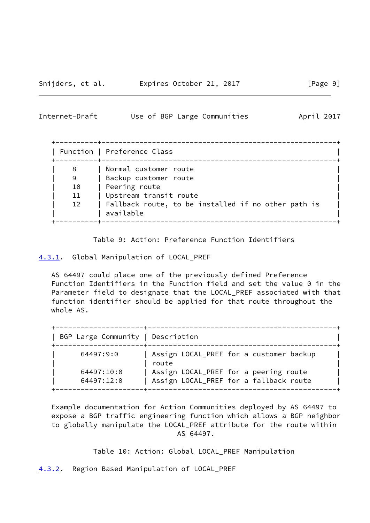<span id="page-10-1"></span>Internet-Draft Use of BGP Large Communities April 2017

|    | Function   Preference Class                                      |
|----|------------------------------------------------------------------|
| 8  | Normal customer route                                            |
| 9  | Backup customer route                                            |
| 10 | Peering route                                                    |
| 11 | Upstream transit route                                           |
| 12 | Fallback route, to be installed if no other path is<br>available |

Table 9: Action: Preference Function Identifiers

<span id="page-10-0"></span>[4.3.1](#page-10-0). Global Manipulation of LOCAL\_PREF

 AS 64497 could place one of the previously defined Preference Function Identifiers in the Function field and set the value 0 in the Parameter field to designate that the LOCAL\_PREF associated with that function identifier should be applied for that route throughout the whole AS.

| BGP Large Community   Description |                                                  |
|-----------------------------------|--------------------------------------------------|
| 64497:9:0                         | Assign LOCAL PREF for a customer backup<br>route |
| 64497:10:0                        | Assign LOCAL_PREF for a peering route            |
| 64497:12:0                        | Assign LOCAL_PREF for a fallback route           |

 Example documentation for Action Communities deployed by AS 64497 to expose a BGP traffic engineering function which allows a BGP neighbor to globally manipulate the LOCAL\_PREF attribute for the route within AS 64497.

Table 10: Action: Global LOCAL\_PREF Manipulation

<span id="page-10-2"></span>[4.3.2](#page-10-2). Region Based Manipulation of LOCAL\_PREF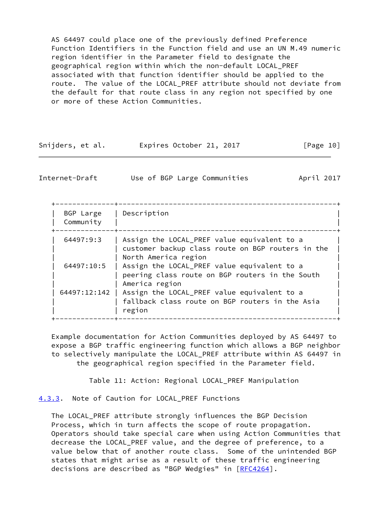AS 64497 could place one of the previously defined Preference Function Identifiers in the Function field and use an UN M.49 numeric region identifier in the Parameter field to designate the geographical region within which the non-default LOCAL\_PREF associated with that function identifier should be applied to the route. The value of the LOCAL PREF attribute should not deviate from the default for that route class in any region not specified by one or more of these Action Communities.

|  | Snijders, et al. | Expires October 21, 2017 | [Page 10] |
|--|------------------|--------------------------|-----------|
|--|------------------|--------------------------|-----------|

<span id="page-11-1"></span>Internet-Draft Use of BGP Large Communities April 2017

|  | APL LL ZUIL |  |
|--|-------------|--|
|  |             |  |
|  |             |  |

| BGP Large<br>Community | Description                                                                                                              |
|------------------------|--------------------------------------------------------------------------------------------------------------------------|
| 64497:9:3              | Assign the LOCAL_PREF value equivalent to a<br>customer backup class route on BGP routers in the<br>North America region |
| 64497:10:5             | Assign the LOCAL_PREF value equivalent to a<br>peering class route on BGP routers in the South<br>America region         |
| 64497:12:142           | Assign the LOCAL_PREF value equivalent to a<br>fallback class route on BGP routers in the Asia<br>region                 |

 Example documentation for Action Communities deployed by AS 64497 to expose a BGP traffic engineering function which allows a BGP neighbor to selectively manipulate the LOCAL\_PREF attribute within AS 64497 in the geographical region specified in the Parameter field.

Table 11: Action: Regional LOCAL\_PREF Manipulation

<span id="page-11-0"></span>[4.3.3](#page-11-0). Note of Caution for LOCAL\_PREF Functions

 The LOCAL\_PREF attribute strongly influences the BGP Decision Process, which in turn affects the scope of route propagation. Operators should take special care when using Action Communities that decrease the LOCAL\_PREF value, and the degree of preference, to a value below that of another route class. Some of the unintended BGP states that might arise as a result of these traffic engineering decisions are described as "BGP Wedgies" in [\[RFC4264](https://datatracker.ietf.org/doc/pdf/rfc4264)].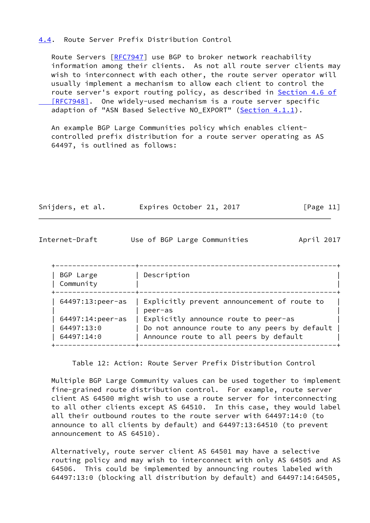## <span id="page-12-0"></span>[4.4](#page-12-0). Route Server Prefix Distribution Control

 Route Servers [[RFC7947](https://datatracker.ietf.org/doc/pdf/rfc7947)] use BGP to broker network reachability information among their clients. As not all route server clients may wish to interconnect with each other, the route server operator will usually implement a mechanism to allow each client to control the route server's export routing policy, as described in [Section](https://datatracker.ietf.org/doc/pdf/rfc7948#section-4.6) 4.6 of  [\[RFC7948\]](https://datatracker.ietf.org/doc/pdf/rfc7948#section-4.6). One widely-used mechanism is a route server specific adaption of "ASN Based Selective NO\_EXPORT" [\(Section 4.1.1](#page-7-0)).

 An example BGP Large Communities policy which enables client controlled prefix distribution for a route server operating as AS 64497, is outlined as follows:

| Snijders, et al. | Expires October 21, 2017 | [Page 11] |
|------------------|--------------------------|-----------|
|------------------|--------------------------|-----------|

<span id="page-12-1"></span>

| Internet-Draft |  |  | Use of BGP Large Communities | April 2017 |
|----------------|--|--|------------------------------|------------|
|----------------|--|--|------------------------------|------------|

| BGP Large<br>Community | Description                                            |
|------------------------|--------------------------------------------------------|
| $64497:13:peer-as$     | Explicitly prevent announcement of route to<br>peer-as |
| $64497:14:peer-as$     | Explicitly announce route to peer-as                   |
| 64497:13:0             | Do not announce route to any peers by default          |
| 64497:14:0             | Announce route to all peers by default                 |

Table 12: Action: Route Server Prefix Distribution Control

 Multiple BGP Large Community values can be used together to implement fine-grained route distribution control. For example, route server client AS 64500 might wish to use a route server for interconnecting to all other clients except AS 64510. In this case, they would label all their outbound routes to the route server with 64497:14:0 (to announce to all clients by default) and 64497:13:64510 (to prevent announcement to AS 64510).

 Alternatively, route server client AS 64501 may have a selective routing policy and may wish to interconnect with only AS 64505 and AS 64506. This could be implemented by announcing routes labeled with 64497:13:0 (blocking all distribution by default) and 64497:14:64505,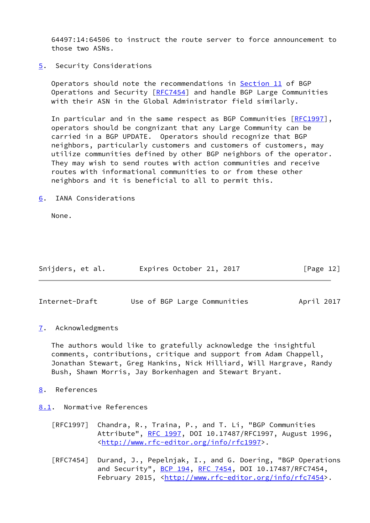64497:14:64506 to instruct the route server to force announcement to those two ASNs.

<span id="page-13-0"></span>[5](#page-13-0). Security Considerations

 Operators should note the recommendations in Section 11 of BGP Operations and Security [\[RFC7454](https://datatracker.ietf.org/doc/pdf/rfc7454)] and handle BGP Large Communities with their ASN in the Global Administrator field similarly.

In particular and in the same respect as BGP Communities [\[RFC1997](https://datatracker.ietf.org/doc/pdf/rfc1997)], operators should be congnizant that any Large Community can be carried in a BGP UPDATE. Operators should recognize that BGP neighbors, particularly customers and customers of customers, may utilize communities defined by other BGP neighbors of the operator. They may wish to send routes with action communities and receive routes with informational communities to or from these other neighbors and it is beneficial to all to permit this.

<span id="page-13-1"></span>[6](#page-13-1). IANA Considerations

None.

| Snijders, et al. | Expires October 21, 2017 | [Page 12] |
|------------------|--------------------------|-----------|
|                  |                          |           |

<span id="page-13-3"></span>Internet-Draft Use of BGP Large Communities April 2017

<span id="page-13-2"></span>[7](#page-13-2). Acknowledgments

 The authors would like to gratefully acknowledge the insightful comments, contributions, critique and support from Adam Chappell, Jonathan Stewart, Greg Hankins, Nick Hilliard, Will Hargrave, Randy Bush, Shawn Morris, Jay Borkenhagen and Stewart Bryant.

<span id="page-13-4"></span>[8](#page-13-4). References

<span id="page-13-5"></span>[8.1](#page-13-5). Normative References

- [RFC1997] Chandra, R., Traina, P., and T. Li, "BGP Communities Attribute", [RFC 1997,](https://datatracker.ietf.org/doc/pdf/rfc1997) DOI 10.17487/RFC1997, August 1996, <<http://www.rfc-editor.org/info/rfc1997>>.
- [RFC7454] Durand, J., Pepelnjak, I., and G. Doering, "BGP Operations and Security", **BCP 194, RFC 7454**, DOI 10.17487/RFC7454, February 2015, <<http://www.rfc-editor.org/info/rfc7454>>.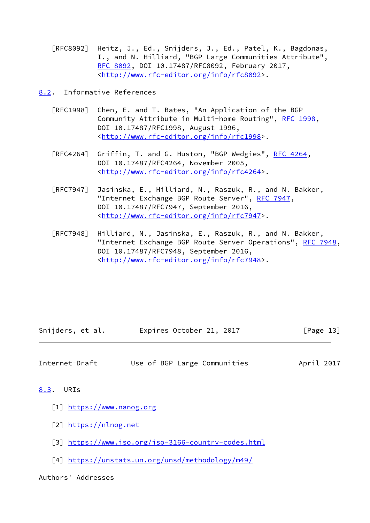[RFC8092] Heitz, J., Ed., Snijders, J., Ed., Patel, K., Bagdonas, I., and N. Hilliard, "BGP Large Communities Attribute", [RFC 8092,](https://datatracker.ietf.org/doc/pdf/rfc8092) DOI 10.17487/RFC8092, February 2017, <<http://www.rfc-editor.org/info/rfc8092>>.

<span id="page-14-0"></span>[8.2](#page-14-0). Informative References

- [RFC1998] Chen, E. and T. Bates, "An Application of the BGP Community Attribute in Multi-home Routing", [RFC 1998,](https://datatracker.ietf.org/doc/pdf/rfc1998) DOI 10.17487/RFC1998, August 1996, <<http://www.rfc-editor.org/info/rfc1998>>.
- [RFC4264] Griffin, T. and G. Huston, "BGP Wedgies", [RFC 4264](https://datatracker.ietf.org/doc/pdf/rfc4264), DOI 10.17487/RFC4264, November 2005, <<http://www.rfc-editor.org/info/rfc4264>>.
- [RFC7947] Jasinska, E., Hilliard, N., Raszuk, R., and N. Bakker, "Internet Exchange BGP Route Server", [RFC 7947](https://datatracker.ietf.org/doc/pdf/rfc7947), DOI 10.17487/RFC7947, September 2016, <<http://www.rfc-editor.org/info/rfc7947>>.
- [RFC7948] Hilliard, N., Jasinska, E., Raszuk, R., and N. Bakker, "Internet Exchange BGP Route Server Operations", [RFC 7948,](https://datatracker.ietf.org/doc/pdf/rfc7948) DOI 10.17487/RFC7948, September 2016, <<http://www.rfc-editor.org/info/rfc7948>>.

Snijders, et al. 
Expires October 21, 2017
[Page 13]

<span id="page-14-2"></span>Internet-Draft Use of BGP Large Communities April 2017

<span id="page-14-1"></span>[8.3](#page-14-1). URIs

- <span id="page-14-3"></span>[1] <https://www.nanog.org>
- <span id="page-14-4"></span>[2] <https://nlnog.net>
- <span id="page-14-5"></span>[3] <https://www.iso.org/iso-3166-country-codes.html>
- <span id="page-14-6"></span>[4] <https://unstats.un.org/unsd/methodology/m49/>

Authors' Addresses